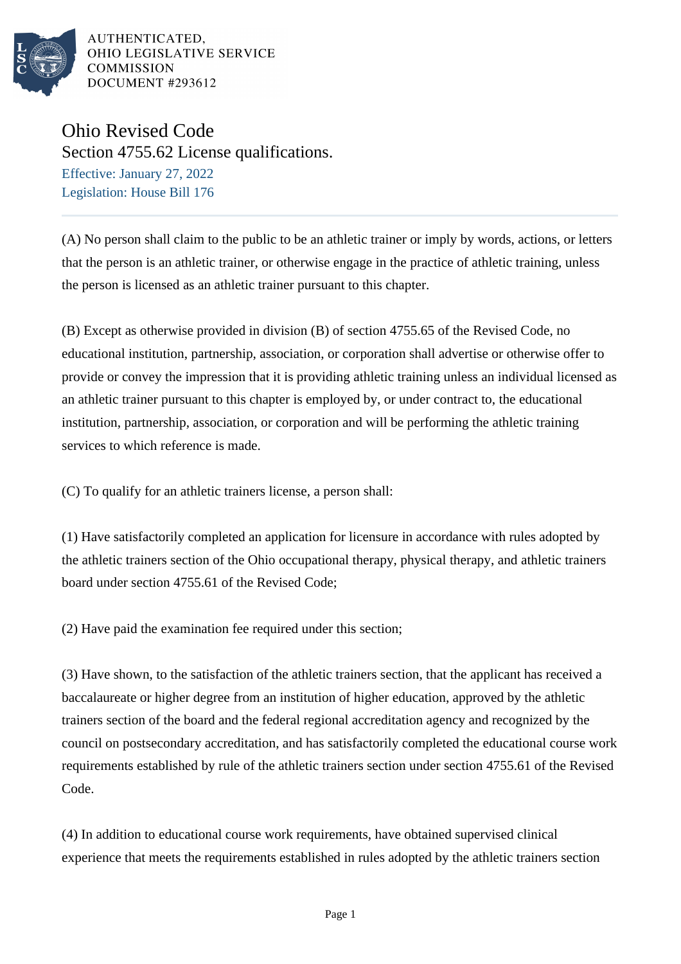

AUTHENTICATED, OHIO LEGISLATIVE SERVICE **COMMISSION** DOCUMENT #293612

## Ohio Revised Code

Section 4755.62 License qualifications.

Effective: January 27, 2022 Legislation: House Bill 176

(A) No person shall claim to the public to be an athletic trainer or imply by words, actions, or letters that the person is an athletic trainer, or otherwise engage in the practice of athletic training, unless the person is licensed as an athletic trainer pursuant to this chapter.

(B) Except as otherwise provided in division (B) of section 4755.65 of the Revised Code, no educational institution, partnership, association, or corporation shall advertise or otherwise offer to provide or convey the impression that it is providing athletic training unless an individual licensed as an athletic trainer pursuant to this chapter is employed by, or under contract to, the educational institution, partnership, association, or corporation and will be performing the athletic training services to which reference is made.

(C) To qualify for an athletic trainers license, a person shall:

(1) Have satisfactorily completed an application for licensure in accordance with rules adopted by the athletic trainers section of the Ohio occupational therapy, physical therapy, and athletic trainers board under section 4755.61 of the Revised Code;

(2) Have paid the examination fee required under this section;

(3) Have shown, to the satisfaction of the athletic trainers section, that the applicant has received a baccalaureate or higher degree from an institution of higher education, approved by the athletic trainers section of the board and the federal regional accreditation agency and recognized by the council on postsecondary accreditation, and has satisfactorily completed the educational course work requirements established by rule of the athletic trainers section under section 4755.61 of the Revised Code.

(4) In addition to educational course work requirements, have obtained supervised clinical experience that meets the requirements established in rules adopted by the athletic trainers section